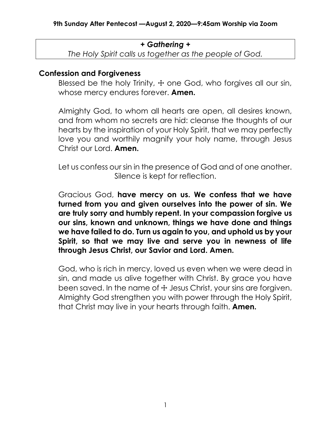#### *+ Gathering +*

*The Holy Spirit calls us together as the people of God.*

#### **Confession and Forgiveness**

Blessed be the holy Trinity,  $+$  one God, who forgives all our sin, whose mercy endures forever. **Amen.**

Almighty God, to whom all hearts are open, all desires known, and from whom no secrets are hid: cleanse the thoughts of our hearts by the inspiration of your Holy Spirit, that we may perfectly love you and worthily magnify your holy name, through Jesus Christ our Lord. **Amen.**

Let us confess our sin in the presence of God and of one another. Silence is kept for reflection.

Gracious God, **have mercy on us. We confess that we have turned from you and given ourselves into the power of sin. We are truly sorry and humbly repent. In your compassion forgive us our sins, known and unknown, things we have done and things we have failed to do. Turn us again to you, and uphold us by your Spirit, so that we may live and serve you in newness of life through Jesus Christ, our Savior and Lord. Amen.**

God, who is rich in mercy, loved us even when we were dead in sin, and made us alive together with Christ. By grace you have been saved. In the name of  $\pm$  Jesus Christ, your sins are forgiven. Almighty God strengthen you with power through the Holy Spirit, that Christ may live in your hearts through faith. **Amen.**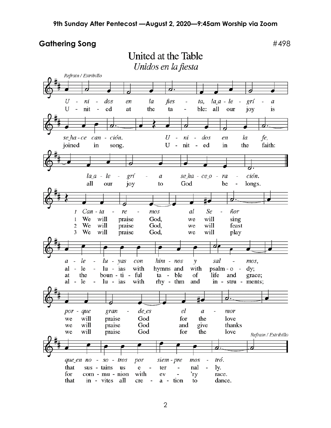United at the Table

Gathering Song **Exercise 2018 #498** 

Unidos en la fiesta Refrain / Estribillo ₹ 6  $la_a - le$ U ni  $\frac{d}{a}$ la fies  $\sim$  $\omega$ en  $ta$ ,  $\overline{\phantom{a}}$ grí  $\boldsymbol{a}$  $U$ nit  $\sim$ ble: all ed the our at ta joy is  $\cal U$ se ha-ce can - ción.  $d$ os fe,  $\mathcal{L}$  $n_{i}$  $\sim$  $l\alpha$ en U  $\sim$ faith: joined in song. nit ed in the ción.  $la_a - le$  $\overline{\phantom{a}}$ grí  $\boldsymbol{a}$  $se$ *ha* -  $ce$ *o* ra  $\overline{a}$  $\overline{\phantom{0}}$ all our joy to God be longs.  $\overline{a}$ <u>o.</u> ₽  $Can - ta$ re  $mos$ al Se ñor  $\boldsymbol{l}$  $\mathbf{1}$ We will praise God, we will sing will will  $\overline{c}$ We praise God, we feast 3 We will God, will praise play we 7 le  $lu - vas$  $him - nos$ sal  $con$  $\boldsymbol{a}$  $\overline{\phantom{a}}$  $\bar{\phantom{a}}$ y  $\overline{\phantom{a}}$ mos,  $\overline{\phantom{a}}$  $\ln$  - ias with with  $psalm - o$  $al - le$ hymns and  $dy:$ ful ta - ble grace; the boun - ti of life and at rhy - thm  $al - le$  $\overline{\phantom{a}}$  $\ln$  - ias with and in - stru - ments; d. #∙ de es el gran  $\boldsymbol{a}$ mor por - que  $\frac{1}{2}$  $\overline{a}$ will praise God for the love we God will praise and give thanks we will praise God for the love we Refrain / Estribillo  $\overline{\boldsymbol{d}}$  . tró. que en no so - tros por siem - pre  $mos$  $\overline{\phantom{a}}$ sus - tains that  $\mathbf{e}$ nal ly. us ter  $\overline{\phantom{0}}$  $\overline{\phantom{a}}$  $\overline{\phantom{a}}$ for com - mu - nion with  $\overline{\phantom{a}}$ race. ev 'ry that in - vites a - tion dance. all cre  $\overline{\phantom{a}}$ to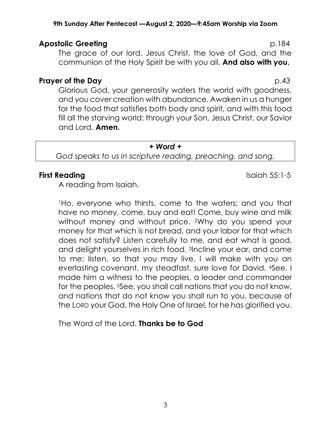#### **9th Sunday After Pentecost —August 2, 2020—9:45am Worship via Zoom**

# **Apostolic Greeting p.184**

The grace of our lord, Jesus Christ, the love of God, and the communion of the Holy Spirit be with you all. **And also with you.**

#### **Prayer of the Day** p.43

Glorious God, your generosity waters the world with goodness, and you cover creation with abundance. Awaken in us a hunger for the food that satisfies both body and spirit, and with this food fill all the starving world; through your Son, Jesus Christ, our Savior and Lord. **Amen.**

#### *+ Word +*

*God speaks to us in scripture reading, preaching, and song.*

#### **First Reading Islaming Service 2018 Islaming Service 2019 Islaming Service 2019 Islaming Service 2019**

A reading from Isaiah.

<sup>1</sup>Ho, everyone who thirsts, come to the waters; and you that have no money, come, buy and eat! Come, buy wine and milk without money and without price. 2Why do you spend your money for that which is not bread, and your labor for that which does not satisfy? Listen carefully to me, and eat what is good, and delight yourselves in rich food. 3Incline your ear, and come to me; listen, so that you may live. I will make with you an everlasting covenant, my steadfast, sure love for David. 4See, I made him a witness to the peoples, a leader and commander for the peoples. <sup>5</sup>See, you shall call nations that you do not know, and nations that do not know you shall run to you, because of the LORD your God, the Holy One of Israel, for he has glorified you.

The Word of the Lord. **Thanks be to God**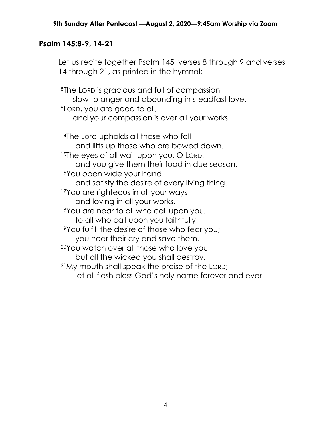### **Psalm 145:8-9, 14-21**

Let us recite together Psalm 145, verses 8 through 9 and verses 14 through 21, as printed in the hymnal:

<sup>8</sup>The LORD is gracious and full of compassion, slow to anger and abounding in steadfast love. <sup>9</sup>LORD, you are good to all, and your compassion is over all your works. 14The Lord upholds all those who fall and lifts up those who are bowed down. <sup>15</sup>The eyes of all wait upon you, O LORD, and you give them their food in due season. <sup>16</sup>You open wide your hand and satisfy the desire of every living thing. 17You are righteous in all your ways and loving in all your works. <sup>18</sup>You are near to all who call upon you, to all who call upon you faithfully. 19You fulfill the desire of those who fear you; you hear their cry and save them. <sup>20</sup>You watch over all those who love you, but all the wicked you shall destroy. <sup>21</sup>My mouth shall speak the praise of the LORD; let all flesh bless God's holy name forever and ever.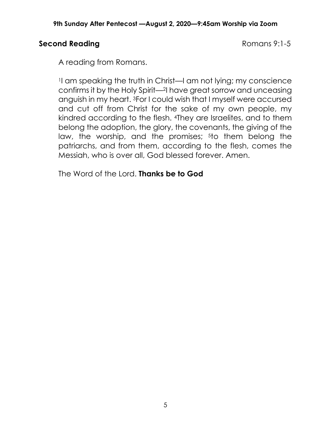# **Second Reading Romans 9:1-5**

A reading from Romans.

<sup>1</sup>I am speaking the truth in Christ—I am not lying; my conscience confirms it by the Holy Spirit—2I have great sorrow and unceasing anguish in my heart. 3For I could wish that I myself were accursed and cut off from Christ for the sake of my own people, my kindred according to the flesh. 4They are Israelites, and to them belong the adoption, the glory, the covenants, the giving of the law, the worship, and the promises; <sup>5</sup>to them belong the patriarchs, and from them, according to the flesh, comes the Messiah, who is over all, God blessed forever. Amen.

The Word of the Lord. **Thanks be to God**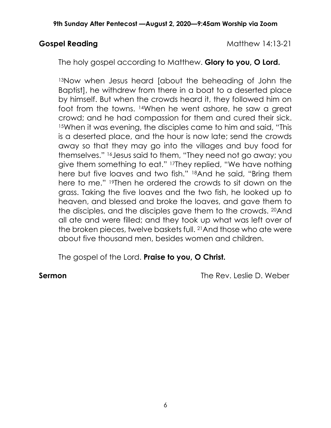**Gospel Reading Cospel Reading Cospel Reading Cospel Reading Cospel Reading Cospel Reading Cospel Reading Cospel Reading Cospel Reading Cospel Reading Cospel Reading Cospel Reading Cospel Reading Cospel Reading Cospel Read** 

The holy gospel according to Matthew. **Glory to you, O Lord.**

13Now when Jesus heard [about the beheading of John the Baptist], he withdrew from there in a boat to a deserted place by himself. But when the crowds heard it, they followed him on foot from the towns. 14When he went ashore, he saw a great crowd; and he had compassion for them and cured their sick. <sup>15</sup>When it was evening, the disciples came to him and said, "This is a deserted place, and the hour is now late; send the crowds away so that they may go into the villages and buy food for themselves." 16Jesus said to them, "They need not go away; you give them something to eat." 17They replied, "We have nothing here but five loaves and two fish." 18And he said, "Bring them here to me." 19Then he ordered the crowds to sit down on the grass. Taking the five loaves and the two fish, he looked up to heaven, and blessed and broke the loaves, and gave them to the disciples, and the disciples gave them to the crowds. 20And all ate and were filled; and they took up what was left over of the broken pieces, twelve baskets full. 21And those who ate were about five thousand men, besides women and children.

The gospel of the Lord. **Praise to you, O Christ.**

**Sermon** The Rev. Leslie D. Weber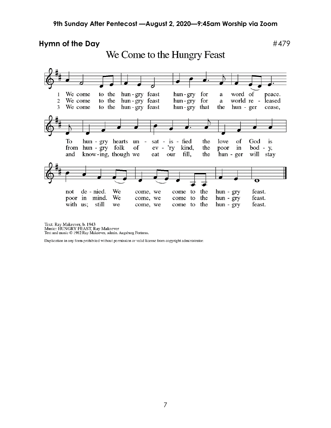#### **Hymn of the Day**  $\#479$ We Come to the Hungry Feast We come to the hun-gry feast hun-gry for word of peace.  $\mathbf{1}$ a hun-gry feast hun-gry for  $\mathbf{2}$ We come to the a world re leased  $\overline{3}$ hun-gry feast We come to the hun-gry that the hun - ger cease, To hun - gry hearts un sat - is - fied the love of God is from  $h$ un -  $g$ ry folk of  $ev - *ry*$ kind, the  $bod - y$ , poor in and know-ing, though we eat our fill, the hun - ger will stay  $\overline{\mathbf{o}}$ de - nied. We the feast. not come, we come to hun - gry poor in mind. We  $hun - gry$ come, we come to the feast. with us; still we come, we come to the  $hun - gry$ feast.

Text: Ray Makeever, b. 1943<br>Music: HUNGRY FEAST, Ray Makeever<br>Text and music © 1982 Ray Makeever, admin. Augsburg Fortress.

Duplication in any form prohibited without permission or valid license from copyright administrator.

7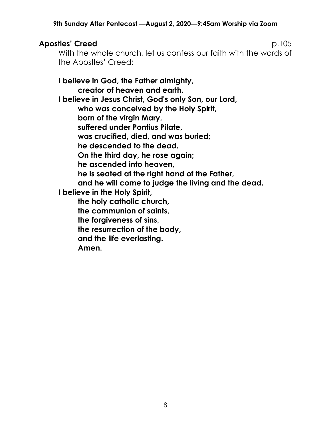# **Apostles' Creed** p.105

With the whole church, let us confess our faith with the words of the Apostles' Creed:

**I believe in God, the Father almighty, creator of heaven and earth. I believe in Jesus Christ, God's only Son, our Lord, who was conceived by the Holy Spirit, born of the virgin Mary, suffered under Pontius Pilate, was crucified, died, and was buried; he descended to the dead. On the third day, he rose again; he ascended into heaven, he is seated at the right hand of the Father, and he will come to judge the living and the dead. I believe in the Holy Spirit, the holy catholic church, the communion of saints, the forgiveness of sins, the resurrection of the body, and the life everlasting. Amen.**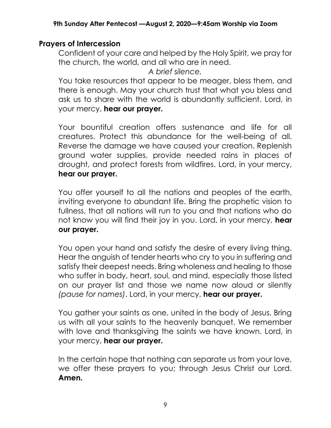# **Prayers of Intercession**

Confident of your care and helped by the Holy Spirit, we pray for the church, the world, and all who are in need.

*A brief silence.*

You take resources that appear to be meager, bless them, and there is enough. May your church trust that what you bless and ask us to share with the world is abundantly sufficient. Lord, in your mercy, **hear our prayer.**

Your bountiful creation offers sustenance and life for all creatures. Protect this abundance for the well-being of all. Reverse the damage we have caused your creation. Replenish ground water supplies, provide needed rains in places of drought, and protect forests from wildfires. Lord, in your mercy, **hear our prayer.**

You offer yourself to all the nations and peoples of the earth, inviting everyone to abundant life. Bring the prophetic vision to fullness, that all nations will run to you and that nations who do not know you will find their joy in you. Lord, in your mercy, **hear our prayer.**

You open your hand and satisfy the desire of every living thing. Hear the anguish of tender hearts who cry to you in suffering and satisfy their deepest needs. Bring wholeness and healing to those who suffer in body, heart, soul, and mind, especially those listed on our prayer list and those we name now aloud or silently *(pause for names)*. Lord, in your mercy, **hear our prayer.**

You gather your saints as one, united in the body of Jesus. Bring us with all your saints to the heavenly banquet. We remember with love and thanksgiving the saints we have known. Lord, in your mercy, **hear our prayer.**

In the certain hope that nothing can separate us from your love, we offer these prayers to you; through Jesus Christ our Lord. **Amen.**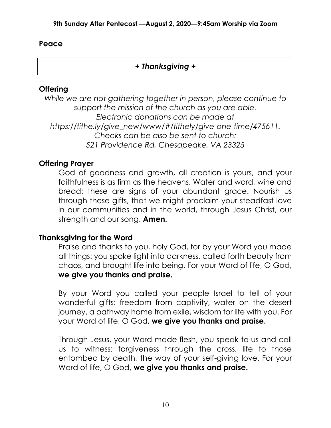#### **Peace**

# *+ Thanksgiving +*

#### **Offering**

*While we are not gathering together in person, please continue to support the mission of the church as you are able. Electronic donations can be made at [https://tithe.ly/give\\_new/www/#/tithely/give-one-time/475611.](https://tithe.ly/give_new/www/#/tithely/give-one-time/475611) Checks can be also be sent to church: 521 Providence Rd, Chesapeake, VA 23325*

### **Offering Prayer**

God of goodness and growth, all creation is yours, and your faithfulness is as firm as the heavens. Water and word, wine and bread: these are signs of your abundant grace. Nourish us through these gifts, that we might proclaim your steadfast love in our communities and in the world, through Jesus Christ, our strength and our song. **Amen.**

### **Thanksgiving for the Word**

Praise and thanks to you, holy God, for by your Word you made all things: you spoke light into darkness, called forth beauty from chaos, and brought life into being. For your Word of life, O God, **we give you thanks and praise.**

By your Word you called your people Israel to tell of your wonderful gifts: freedom from captivity, water on the desert journey, a pathway home from exile, wisdom for life with you. For your Word of life, O God, **we give you thanks and praise.**

Through Jesus, your Word made flesh, you speak to us and call us to witness: forgiveness through the cross, life to those entombed by death, the way of your self-giving love. For your Word of life, O God, **we give you thanks and praise.**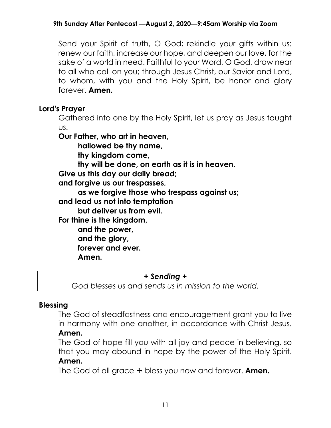Send your Spirit of truth, O God; rekindle your gifts within us: renew our faith, increase our hope, and deepen our love, for the sake of a world in need. Faithful to your Word, O God, draw near to all who call on you; through Jesus Christ, our Savior and Lord, to whom, with you and the Holy Spirit, be honor and glory forever. **Amen.**

# **Lord's Prayer**

Gathered into one by the Holy Spirit, let us pray as Jesus taught us.

**Our Father, who art in heaven,** 

**hallowed be thy name,**

**thy kingdom come,**

**thy will be done, on earth as it is in heaven.** 

**Give us this day our daily bread;** 

**and forgive us our trespasses,** 

**as we forgive those who trespass against us;**

**and lead us not into temptation**

**but deliver us from evil.** 

**For thine is the kingdom,** 

**and the power, and the glory,**

**forever and ever.** 

**Amen.**

### *+ Sending +*

*God blesses us and sends us in mission to the world.*

# **Blessing**

The God of steadfastness and encouragement grant you to live in harmony with one another, in accordance with Christ Jesus. **Amen.**

# The God of hope fill you with all joy and peace in believing, so that you may abound in hope by the power of the Holy Spirit. **Amen.**

The God of all grace ☩ bless you now and forever. **Amen.**